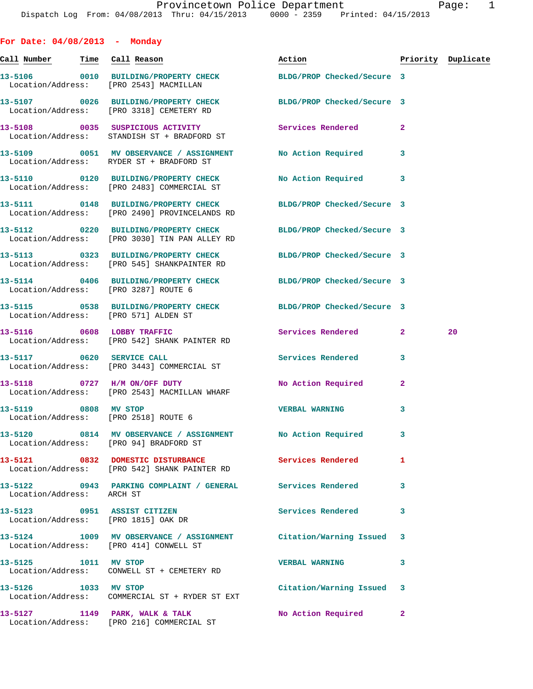| For Date: $04/08/2013$ - Monday                                    |                                                                                                                  |                          |                |                    |
|--------------------------------------------------------------------|------------------------------------------------------------------------------------------------------------------|--------------------------|----------------|--------------------|
| <u>Call Number — Time Call Reason</u>                              |                                                                                                                  | Action                   |                | Priority Duplicate |
|                                                                    | 13-5106 0010 BUILDING/PROPERTY CHECK BLDG/PROP Checked/Secure 3<br>Location/Address: [PRO 2543] MACMILLAN        |                          |                |                    |
|                                                                    | 13-5107 0026 BUILDING/PROPERTY CHECK BLDG/PROP Checked/Secure 3<br>Location/Address: [PRO 3318] CEMETERY RD      |                          |                |                    |
|                                                                    | 13-5108 0035 SUSPICIOUS ACTIVITY<br>Location/Address: STANDISH ST + BRADFORD ST                                  | <b>Services Rendered</b> | $\overline{a}$ |                    |
|                                                                    | 13-5109 0051 MV OBSERVANCE / ASSIGNMENT NO Action Required<br>Location/Address: RYDER ST + BRADFORD ST           |                          | 3              |                    |
|                                                                    | 13-5110 0120 BUILDING/PROPERTY CHECK<br>Location/Address: [PRO 2483] COMMERCIAL ST                               | No Action Required 3     |                |                    |
|                                                                    | 13-5111 0148 BUILDING/PROPERTY CHECK BLDG/PROP Checked/Secure 3<br>Location/Address: [PRO 2490] PROVINCELANDS RD |                          |                |                    |
|                                                                    | 13-5112 0220 BUILDING/PROPERTY CHECK BLDG/PROP Checked/Secure 3<br>Location/Address: [PRO 3030] TIN PAN ALLEY RD |                          |                |                    |
|                                                                    | 13-5113 0323 BUILDING/PROPERTY CHECK BLDG/PROP Checked/Secure 3<br>Location/Address: [PRO 545] SHANKPAINTER RD   |                          |                |                    |
| Location/Address: [PRO 3287] ROUTE 6                               | 13-5114 0406 BUILDING/PROPERTY CHECK BLDG/PROP Checked/Secure 3                                                  |                          |                |                    |
| Location/Address: [PRO 571] ALDEN ST                               | 13-5115 0538 BUILDING/PROPERTY CHECK BLDG/PROP Checked/Secure 3                                                  |                          |                |                    |
| 13-5116 0608 LOBBY TRAFFIC                                         | Location/Address: [PRO 542] SHANK PAINTER RD                                                                     | Services Rendered 2      |                | 20                 |
|                                                                    | 13-5117 0620 SERVICE CALL<br>Location/Address: [PRO 3443] COMMERCIAL ST                                          | Services Rendered        | 3              |                    |
|                                                                    | 13-5118 0727 H/M ON/OFF DUTY<br>Location/Address: [PRO 2543] MACMILLAN WHARF                                     | No Action Required       | 2              |                    |
| 13-5119 0808 MV STOP<br>Location/Address: [PRO 2518] ROUTE 6       |                                                                                                                  | <b>VERBAL WARNING</b>    | 3              |                    |
| Location/Address: [PRO 94] BRADFORD ST                             | 13-5120 0814 MV OBSERVANCE / ASSIGNMENT No Action Required                                                       |                          | 3              |                    |
|                                                                    | 13-5121 0832 DOMESTIC DISTURBANCE 3 Services Rendered<br>Location/Address: [PRO 542] SHANK PAINTER RD            |                          | 1              |                    |
| Location/Address: ARCH ST                                          | 13-5122 0943 PARKING COMPLAINT / GENERAL Services Rendered                                                       |                          | 3              |                    |
| 13-5123 0951 ASSIST CITIZEN<br>Location/Address: [PRO 1815] OAK DR |                                                                                                                  | Services Rendered        | 3              |                    |
| Location/Address: [PRO 414] CONWELL ST                             | 13-5124 1009 MV OBSERVANCE / ASSIGNMENT Citation/Warning Issued                                                  |                          | 3              |                    |
| 13-5125 1011 MV STOP                                               | Location/Address: CONWELL ST + CEMETERY RD                                                                       | <b>VERBAL WARNING</b>    | 3              |                    |
| 13-5126 1033 MV STOP                                               | Location/Address: COMMERCIAL ST + RYDER ST EXT                                                                   | Citation/Warning Issued  | 3              |                    |
|                                                                    | $13-5127$ 1149 PARK, WALK & TALK<br>Location/Address: [PRO 216] COMMERCIAL ST                                    | No Action Required       | $\mathbf{2}$   |                    |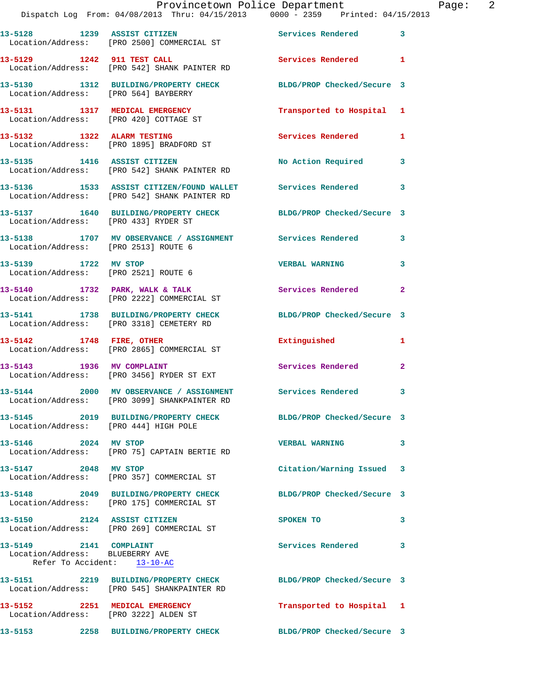|                                                                                          | Provincetown Police Department<br>Dispatch Log From: 04/08/2013 Thru: 04/15/2013  0000 - 2359  Printed: 04/15/2013 |                           | Page: 2      |
|------------------------------------------------------------------------------------------|--------------------------------------------------------------------------------------------------------------------|---------------------------|--------------|
|                                                                                          | 13-5128 1239 ASSIST CITIZEN 5ervices Rendered 3<br>Location/Address: [PRO 2500] COMMERCIAL ST                      |                           |              |
|                                                                                          | 13-5129 1242 911 TEST CALL<br>Location/Address: [PRO 542] SHANK PAINTER RD                                         | Services Rendered 1       |              |
|                                                                                          | 13-5130 1312 BUILDING/PROPERTY CHECK BLDG/PROP Checked/Secure 3<br>Location/Address: [PRO 564] BAYBERRY            |                           |              |
|                                                                                          | 13-5131   1317   MEDICAL EMERGENCY   Transported to Hospital   1<br>Location/Address: [PRO 420] COTTAGE ST         |                           |              |
|                                                                                          |                                                                                                                    | Services Rendered 1       |              |
|                                                                                          | 13-5135 1416 ASSIST CITIZEN No Action Required 3<br>Location/Address: [PRO 542] SHANK PAINTER RD                   |                           |              |
|                                                                                          | 13-5136 1533 ASSIST CITIZEN/FOUND WALLET Services Rendered 3<br>Location/Address: [PRO 542] SHANK PAINTER RD       |                           |              |
| Location/Address: [PRO 433] RYDER ST                                                     | 13-5137 1640 BUILDING/PROPERTY CHECK BLDG/PROP Checked/Secure 3                                                    |                           |              |
| Location/Address: [PRO 2513] ROUTE 6                                                     | 13-5138 1707 MV OBSERVANCE / ASSIGNMENT Services Rendered 3                                                        |                           |              |
| Location/Address: [PRO 2521] ROUTE 6                                                     | 13-5139 1722 MV STOP                                                                                               | <b>VERBAL WARNING</b>     | 3            |
|                                                                                          | 13-5140 1732 PARK, WALK & TALK 1988 Services Rendered 2<br>Location/Address: [PRO 2222] COMMERCIAL ST              |                           |              |
|                                                                                          | 13-5141 1738 BUILDING/PROPERTY CHECK BLDG/PROP Checked/Secure 3<br>Location/Address: [PRO 3318] CEMETERY RD        |                           |              |
| 13-5142 1748 FIRE, OTHER                                                                 | Location/Address: [PRO 2865] COMMERCIAL ST                                                                         | Extinguished              | 1            |
|                                                                                          | 13-5143 1936 MV COMPLAINT<br>Location/Address: [PRO 3456] RYDER ST EXT                                             | Services Rendered 2       |              |
|                                                                                          | 13-5144 2000 MV OBSERVANCE / ASSIGNMENT Services Rendered<br>Location/Address: [PRO 3099] SHANKPAINTER RD          |                           |              |
| Location/Address: [PRO 444] HIGH POLE                                                    | 13-5145 2019 BUILDING/PROPERTY CHECK BLDG/PROP Checked/Secure 3                                                    |                           |              |
| 13-5146 2024 MV STOP                                                                     | Location/Address: [PRO 75] CAPTAIN BERTIE RD                                                                       | <b>VERBAL WARNING</b>     | $\mathbf{3}$ |
| 13-5147 2048 MV STOP                                                                     | Location/Address: [PRO 357] COMMERCIAL ST                                                                          | Citation/Warning Issued 3 |              |
|                                                                                          | 13-5148 2049 BUILDING/PROPERTY CHECK BLDG/PROP Checked/Secure 3<br>Location/Address: [PRO 175] COMMERCIAL ST       |                           |              |
|                                                                                          | 13-5150 2124 ASSIST CITIZEN<br>Location/Address: [PRO 269] COMMERCIAL ST                                           | SPOKEN TO                 | 3            |
| 13-5149 2141 COMPLAINT<br>Location/Address: BLUEBERRY AVE<br>Refer To Accident: 13-10-AC |                                                                                                                    | Services Rendered 3       |              |
|                                                                                          | 13-5151 2219 BUILDING/PROPERTY CHECK BLDG/PROP Checked/Secure 3<br>Location/Address: [PRO 545] SHANKPAINTER RD     |                           |              |
| 13-5152 2251 MEDICAL EMERGENCY<br>Location/Address: [PRO 3222] ALDEN ST                  |                                                                                                                    | Transported to Hospital 1 |              |
|                                                                                          | 13-5153 2258 BUILDING/PROPERTY CHECK BLDG/PROP Checked/Secure 3                                                    |                           |              |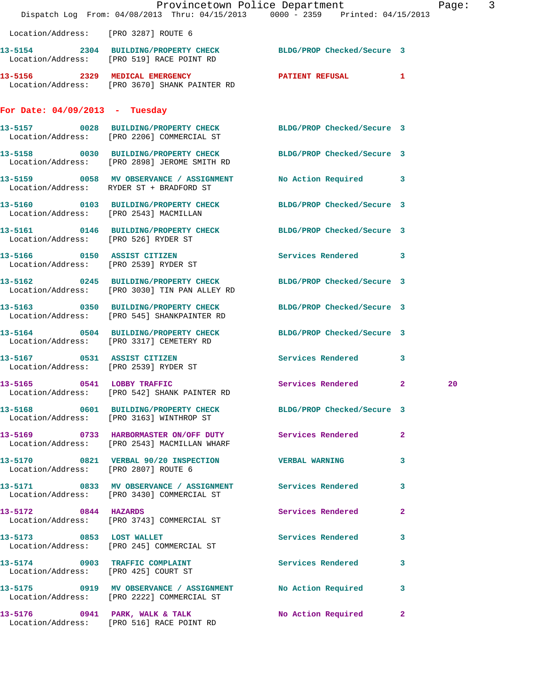|                                        | Dispatch Log From: 04/08/2013 Thru: 04/15/2013 0000 - 2359 Printed: 04/15/2013                                   | Provincetown Police Department |                | Page: 3 |  |
|----------------------------------------|------------------------------------------------------------------------------------------------------------------|--------------------------------|----------------|---------|--|
| Location/Address: [PRO 3287] ROUTE 6   |                                                                                                                  |                                |                |         |  |
|                                        | 13-5154 2304 BUILDING/PROPERTY CHECK BLDG/PROP Checked/Secure 3<br>Location/Address: [PRO 519] RACE POINT RD     |                                |                |         |  |
|                                        | 13-5156 2329 MEDICAL EMERGENCY<br>Location/Address: [PRO 3670] SHANK PAINTER RD                                  | PATIENT REFUSAL 1              |                |         |  |
| For Date: $04/09/2013$ - Tuesday       |                                                                                                                  |                                |                |         |  |
|                                        | 13-5157 0028 BUILDING/PROPERTY CHECK BLDG/PROP Checked/Secure 3<br>Location/Address: [PRO 2206] COMMERCIAL ST    |                                |                |         |  |
|                                        | 13-5158 0030 BUILDING/PROPERTY CHECK BLDG/PROP Checked/Secure 3<br>Location/Address: [PRO 2898] JEROME SMITH RD  |                                |                |         |  |
|                                        | 13-5159 0058 MV OBSERVANCE / ASSIGNMENT<br>Location/Address: RYDER ST + BRADFORD ST                              | No Action Required 3           |                |         |  |
| Location/Address: [PRO 2543] MACMILLAN | 13-5160 0103 BUILDING/PROPERTY CHECK BLDG/PROP Checked/Secure 3                                                  |                                |                |         |  |
| Location/Address: [PRO 526] RYDER ST   | 13-5161 0146 BUILDING/PROPERTY CHECK BLDG/PROP Checked/Secure 3                                                  |                                |                |         |  |
|                                        | 13-5166 0150 ASSIST CITIZEN<br>Location/Address: [PRO 2539] RYDER ST                                             | Services Rendered 3            |                |         |  |
|                                        | 13-5162 0245 BUILDING/PROPERTY CHECK BLDG/PROP Checked/Secure 3<br>Location/Address: [PRO 3030] TIN PAN ALLEY RD |                                |                |         |  |
|                                        | 13-5163 0350 BUILDING/PROPERTY CHECK BLDG/PROP Checked/Secure 3<br>Location/Address: [PRO 545] SHANKPAINTER RD   |                                |                |         |  |
|                                        | 13-5164 0504 BUILDING/PROPERTY CHECK BLDG/PROP Checked/Secure 3<br>Location/Address: [PRO 3317] CEMETERY RD      |                                |                |         |  |
|                                        | 13-5167 0531 ASSIST CITIZEN<br>Location/Address: [PRO 2539] RYDER ST                                             | <b>Services Rendered</b>       | 3              |         |  |
|                                        | 13-5165 0541 LOBBY TRAFFIC<br>Location/Address: [PRO 542] SHANK PAINTER RD                                       | Services Rendered 2            |                | 20      |  |
|                                        | 13-5168 0601 BUILDING/PROPERTY CHECK BLDG/PROP Checked/Secure 3<br>Location/Address: [PRO 3163] WINTHROP ST      |                                |                |         |  |
|                                        | 13-5169 0733 HARBORMASTER ON/OFF DUTY Services Rendered<br>Location/Address: [PRO 2543] MACMILLAN WHARF          |                                | $\mathbf{2}$   |         |  |
| Location/Address: [PRO 2807] ROUTE 6   | 13-5170 0821 VERBAL 90/20 INSPECTION VERBAL WARNING 3                                                            |                                |                |         |  |
|                                        | 13-5171 0833 MV OBSERVANCE / ASSIGNMENT Services Rendered<br>Location/Address: [PRO 3430] COMMERCIAL ST          |                                | 3              |         |  |
| 13-5172 0844 HAZARDS                   | Location/Address: [PRO 3743] COMMERCIAL ST                                                                       | Services Rendered              | $\overline{2}$ |         |  |
|                                        | 13-5173 0853 LOST WALLET<br>Location/Address: [PRO 245] COMMERCIAL ST                                            | Services Rendered              | 3              |         |  |
|                                        | 13-5174 0903 TRAFFIC COMPLAINT Services Rendered 3<br>Location/Address: [PRO 425] COURT ST                       |                                |                |         |  |
|                                        | 13-5175 0919 MV OBSERVANCE / ASSIGNMENT No Action Required<br>Location/Address: [PRO 2222] COMMERCIAL ST         |                                | 3              |         |  |
|                                        | 13-5176 0941 PARK, WALK & TALK N No Action Required 2<br>Location/Address: [PRO 516] RACE POINT RD               |                                |                |         |  |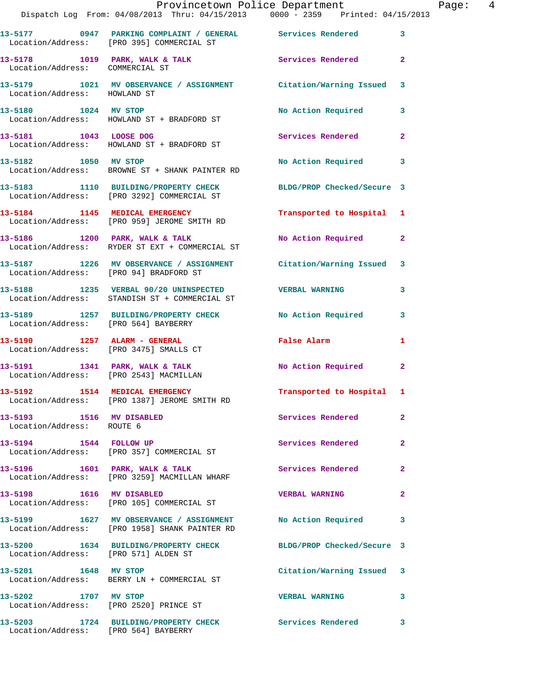|                                                       | Provincetown Police Department<br>Dispatch Log From: 04/08/2013 Thru: 04/15/2013 0000 - 2359 Printed: 04/15/2013 |                                                                                                                | Page: 4      |  |
|-------------------------------------------------------|------------------------------------------------------------------------------------------------------------------|----------------------------------------------------------------------------------------------------------------|--------------|--|
|                                                       | 13-5177 0947 PARKING COMPLAINT / GENERAL Services Rendered 3<br>Location/Address: [PRO 395] COMMERCIAL ST        |                                                                                                                |              |  |
| Location/Address: COMMERCIAL ST                       | 13-5178 1019 PARK, WALK & TALK 1988 Services Rendered 2                                                          |                                                                                                                |              |  |
|                                                       | 13-5179 1021 MV OBSERVANCE / ASSIGNMENT Citation/Warning Issued 3<br>Location/Address: HOWLAND ST                |                                                                                                                |              |  |
|                                                       | 13-5180 1024 MV STOP<br>Location/Address: HOWLAND ST + BRADFORD ST                                               | No Action Required 3                                                                                           |              |  |
|                                                       | 13-5181 1043 LOOSE DOG<br>Location/Address: HOWLAND ST + BRADFORD ST                                             | Services Rendered                                                                                              | $\mathbf{2}$ |  |
|                                                       | 13-5182 1050 MV STOP<br>Location/Address: BROWNE ST + SHANK PAINTER RD                                           | No Action Required 3                                                                                           |              |  |
|                                                       | 13-5183 1110 BUILDING/PROPERTY CHECK BLDG/PROP Checked/Secure 3<br>Location/Address: [PRO 3292] COMMERCIAL ST    |                                                                                                                |              |  |
|                                                       | 13-5184 1145 MEDICAL EMERGENCY<br>Location/Address: [PRO 959] JEROME SMITH RD                                    | Transported to Hospital 1                                                                                      |              |  |
|                                                       | 13-5186 1200 PARK, WALK & TALK<br>Location/Address: RYDER ST EXT + COMMERCIAL ST                                 | No Action Required 2                                                                                           |              |  |
| Location/Address: [PRO 94] BRADFORD ST                | 13-5187 1226 MV OBSERVANCE / ASSIGNMENT Citation/Warning Issued 3                                                |                                                                                                                |              |  |
|                                                       | 13-5188 1235 VERBAL 90/20 UNINSPECTED VERBAL WARNING<br>Location/Address: STANDISH ST + COMMERCIAL ST            |                                                                                                                | $\mathbf{3}$ |  |
|                                                       | 13-5189 1257 BUILDING/PROPERTY CHECK No Action Required 3<br>Location/Address: [PRO 564] BAYBERRY                |                                                                                                                |              |  |
|                                                       | 13-5190 1257 ALARM - GENERAL<br>Location/Address: [PRO 3475] SMALLS CT                                           | False Alarm and the state of the state of the state of the state of the state of the state of the state of the | 1            |  |
| Location/Address: [PRO 2543] MACMILLAN                | 13-5191 1341 PARK, WALK & TALK                                                                                   | No Action Required 2                                                                                           |              |  |
|                                                       | 13-5192 1514 MEDICAL EMERGENCY<br>Location/Address: [PRO 1387] JEROME SMITH RD                                   | Transported to Hospital 1                                                                                      |              |  |
| 13-5193 1516 MV DISABLED<br>Location/Address: ROUTE 6 |                                                                                                                  | Services Rendered                                                                                              | $\mathbf{2}$ |  |
|                                                       | 13-5194 1544 FOLLOW UP<br>Location/Address: [PRO 357] COMMERCIAL ST                                              | <b>Services Rendered</b>                                                                                       | $\mathbf{2}$ |  |
|                                                       | 13-5196 1601 PARK, WALK & TALK<br>Location/Address: [PRO 3259] MACMILLAN WHARF                                   | <b>Services Rendered</b>                                                                                       | $\mathbf{2}$ |  |
| 13-5198 1616 MV DISABLED                              | Location/Address: [PRO 105] COMMERCIAL ST                                                                        | <b>VERBAL WARNING</b>                                                                                          | $\mathbf{2}$ |  |
|                                                       | 13-5199 1627 MV OBSERVANCE / ASSIGNMENT<br>Location/Address: [PRO 1958] SHANK PAINTER RD                         | No Action Required 3                                                                                           |              |  |
| Location/Address: [PRO 571] ALDEN ST                  | 13-5200 1634 BUILDING/PROPERTY CHECK BLDG/PROP Checked/Secure 3                                                  |                                                                                                                |              |  |
|                                                       | 13-5201 1648 MV STOP<br>Location/Address: BERRY LN + COMMERCIAL ST                                               | Citation/Warning Issued 3                                                                                      |              |  |
| 13-5202 1707 MV STOP                                  | Location/Address: [PRO 2520] PRINCE ST                                                                           | <b>VERBAL WARNING</b>                                                                                          | 3            |  |
| Location/Address: [PRO 564] BAYBERRY                  | 13-5203 1724 BUILDING/PROPERTY CHECK Services Rendered 3                                                         |                                                                                                                |              |  |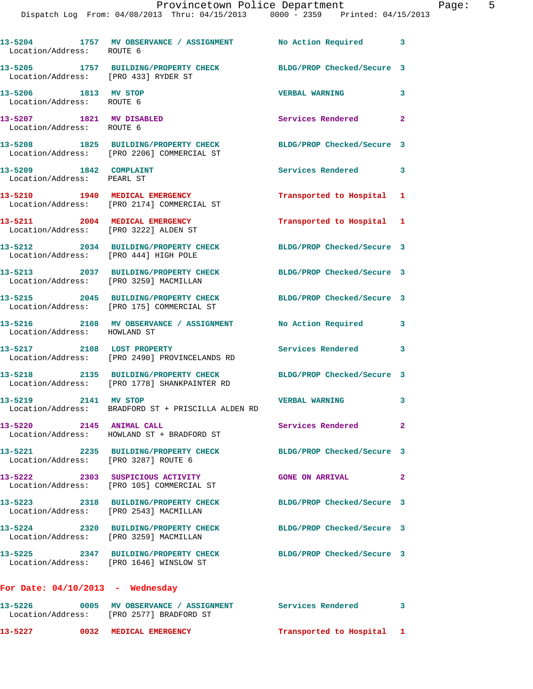| Location/Address: ROUTE 6                                               | 13-5204 1757 MV OBSERVANCE / ASSIGNMENT No Action Required 3                                            |                            |                |
|-------------------------------------------------------------------------|---------------------------------------------------------------------------------------------------------|----------------------------|----------------|
| Location/Address: [PRO 433] RYDER ST                                    | 13-5205 1757 BUILDING/PROPERTY CHECK                                                                    | BLDG/PROP Checked/Secure 3 |                |
| 13-5206 1813 MV STOP<br>Location/Address: ROUTE 6                       |                                                                                                         | <b>VERBAL WARNING</b>      | 3              |
| 13-5207 1821 MV DISABLED<br>Location/Address: ROUTE 6                   |                                                                                                         | Services Rendered 2        |                |
|                                                                         | 13-5208 1825 BUILDING/PROPERTY CHECK<br>Location/Address: [PRO 2206] COMMERCIAL ST                      | BLDG/PROP Checked/Secure 3 |                |
| 13-5209 1842 COMPLAINT<br>Location/Address: PEARL ST                    |                                                                                                         | Services Rendered 3        |                |
|                                                                         | 13-5210 1940 MEDICAL EMERGENCY<br>Location/Address: [PRO 2174] COMMERCIAL ST                            | Transported to Hospital 1  |                |
| 13-5211 2004 MEDICAL EMERGENCY<br>Location/Address: [PRO 3222] ALDEN ST |                                                                                                         | Transported to Hospital 1  |                |
| Location/Address: [PRO 444] HIGH POLE                                   | 13-5212 2034 BUILDING/PROPERTY CHECK                                                                    | BLDG/PROP Checked/Secure 3 |                |
| Location/Address: [PRO 3259] MACMILLAN                                  | 13-5213 2037 BUILDING/PROPERTY CHECK                                                                    | BLDG/PROP Checked/Secure 3 |                |
|                                                                         | 13-5215 2045 BUILDING/PROPERTY CHECK<br>Location/Address: [PRO 175] COMMERCIAL ST                       | BLDG/PROP Checked/Secure 3 |                |
| Location/Address: HOWLAND ST                                            | 13-5216 2108 MV OBSERVANCE / ASSIGNMENT                                                                 | No Action Required         | 3              |
| 13-5217 2108 LOST PROPERTY                                              | Location/Address: [PRO 2490] PROVINCELANDS RD                                                           | Services Rendered 3        |                |
|                                                                         | 13-5218 2135 BUILDING/PROPERTY CHECK<br>Location/Address: [PRO 1778] SHANKPAINTER RD                    | BLDG/PROP Checked/Secure 3 |                |
| 13-5219 2141 MV STOP                                                    | Location/Address: BRADFORD ST + PRISCILLA ALDEN RD                                                      | <b>VERBAL WARNING</b>      | 3              |
| 13-5220 2145 ANIMAL CALL                                                | Location/Address: HOWLAND ST + BRADFORD ST                                                              | <b>Services Rendered</b>   | $\mathbf{2}^-$ |
|                                                                         | 13-5221 2235 BUILDING/PROPERTY CHECK<br>Location/Address: [PRO 3287] ROUTE 6                            | BLDG/PROP Checked/Secure 3 |                |
|                                                                         | 13-5222 2303 SUSPICIOUS ACTIVITY<br>Location/Address: [PRO 105] COMMERCIAL ST                           | <b>GONE ON ARRIVAL</b>     | $\mathbf{2}$   |
| 13-5223<br>Location/Address: [PRO 2543] MACMILLAN                       | 2318 BUILDING/PROPERTY CHECK                                                                            | BLDG/PROP Checked/Secure 3 |                |
| Location/Address: [PRO 3259] MACMILLAN                                  | 13-5224 2320 BUILDING/PROPERTY CHECK                                                                    | BLDG/PROP Checked/Secure 3 |                |
|                                                                         | 13-5225 2347 BUILDING/PROPERTY CHECK<br>Location/Address: [PRO 1646] WINSLOW ST                         | BLDG/PROP Checked/Secure 3 |                |
| For Date: $04/10/2013$ - Wednesday                                      |                                                                                                         |                            |                |
|                                                                         | 13-5226 0005 MV OBSERVANCE / ASSIGNMENT Services Rendered 3<br>Location/Address: [PRO 2577] BRADFORD ST |                            |                |

**13-5227 0032 MEDICAL EMERGENCY Transported to Hospital 1**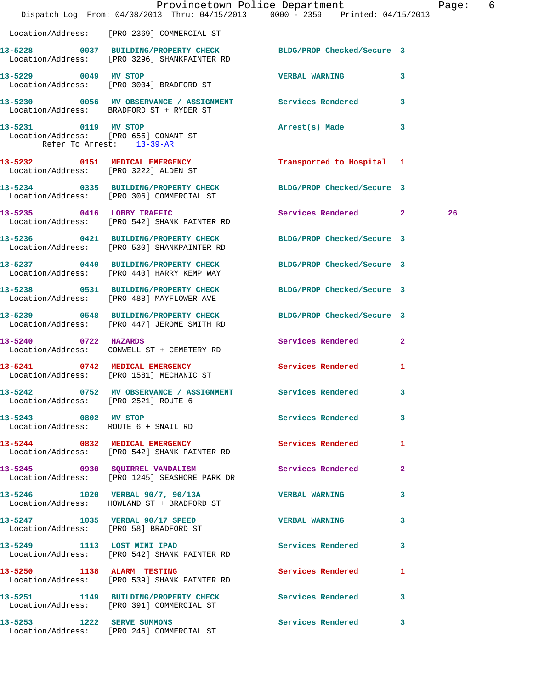|                                      | Dispatch Log From: 04/08/2013 Thru: 04/15/2013 0000 - 2359 Printed: 04/15/2013                                  | Provincetown Police Department |              | Page: 6 |  |
|--------------------------------------|-----------------------------------------------------------------------------------------------------------------|--------------------------------|--------------|---------|--|
|                                      | Location/Address: [PRO 2369] COMMERCIAL ST                                                                      |                                |              |         |  |
|                                      | 13-5228 0037 BUILDING/PROPERTY CHECK BLDG/PROP Checked/Secure 3<br>Location/Address: [PRO 3296] SHANKPAINTER RD |                                |              |         |  |
|                                      | 13-5229 0049 MV STOP<br>Location/Address: [PRO 3004] BRADFORD ST                                                | <b>VERBAL WARNING</b>          | $\mathbf{3}$ |         |  |
|                                      | 13-5230 0056 MV OBSERVANCE / ASSIGNMENT Services Rendered 3<br>Location/Address: BRADFORD ST + RYDER ST         |                                |              |         |  |
| 13-5231 0119 MV STOP                 | Location/Address: [PRO 655] CONANT ST<br>Refer To Arrest: 13-39-AR                                              | Arrest(s) Made                 | $\mathbf{3}$ |         |  |
|                                      | 13-5232 0151 MEDICAL EMERGENCY<br>Location/Address: [PRO 3222] ALDEN ST                                         | Transported to Hospital 1      |              |         |  |
|                                      | 13-5234 0335 BUILDING/PROPERTY CHECK BLDG/PROP Checked/Secure 3<br>Location/Address: [PRO 306] COMMERCIAL ST    |                                |              |         |  |
|                                      | 13-5235 0416 LOBBY TRAFFIC<br>Location/Address: [PRO 542] SHANK PAINTER RD                                      | Services Rendered 2            |              | 26      |  |
|                                      | 13-5236 0421 BUILDING/PROPERTY CHECK BLDG/PROP Checked/Secure 3<br>Location/Address: [PRO 530] SHANKPAINTER RD  |                                |              |         |  |
|                                      | 13-5237 0440 BUILDING/PROPERTY CHECK BLDG/PROP Checked/Secure 3<br>Location/Address: [PRO 440] HARRY KEMP WAY   |                                |              |         |  |
|                                      | 13-5238 0531 BUILDING/PROPERTY CHECK BLDG/PROP Checked/Secure 3<br>Location/Address: [PRO 488] MAYFLOWER AVE    |                                |              |         |  |
|                                      | 13-5239 0548 BUILDING/PROPERTY CHECK BLDG/PROP Checked/Secure 3<br>Location/Address: [PRO 447] JEROME SMITH RD  |                                |              |         |  |
| 13-5240 0722 HAZARDS                 | Location/Address: CONWELL ST + CEMETERY RD                                                                      | Services Rendered 2            |              |         |  |
|                                      | 13-5241 0742 MEDICAL EMERGENCY<br>Location/Address: [PRO 1581] MECHANIC ST                                      | Services Rendered 1            |              |         |  |
| Location/Address: [PRO 2521] ROUTE 6 | 13-5242 0752 MV OBSERVANCE / ASSIGNMENT Services Rendered                                                       |                                |              |         |  |
| 13-5243 0802 MV STOP                 | Location/Address: ROUTE 6 + SNAIL RD                                                                            | Services Rendered 3            |              |         |  |
|                                      | 13-5244 0832 MEDICAL EMERGENCY<br>Location/Address: [PRO 542] SHANK PAINTER RD                                  | Services Rendered 1            |              |         |  |
|                                      | 13-5245 0930 SQUIRREL VANDALISM<br>Location/Address: [PRO 1245] SEASHORE PARK DR                                | Services Rendered 2            |              |         |  |
|                                      | 13-5246 1020 VERBAL 90/7, 90/13A<br>Location/Address: HOWLAND ST + BRADFORD ST                                  | VERBAL WARNING 3               |              |         |  |
|                                      | 13-5247 1035 VERBAL 90/17 SPEED VERBAL WARNING<br>Location/Address: [PRO 58] BRADFORD ST                        |                                | 3            |         |  |
|                                      | 13-5249 1113 LOST MINI IPAD<br>Location/Address: [PRO 542] SHANK PAINTER RD                                     | Services Rendered 3            |              |         |  |
|                                      | 13-5250 1138 ALARM TESTING<br>Location/Address: [PRO 539] SHANK PAINTER RD                                      | Services Rendered              | $\mathbf{1}$ |         |  |
|                                      | 13-5251 1149 BUILDING/PROPERTY CHECK Services Rendered 3<br>Location/Address: [PRO 391] COMMERCIAL ST           |                                |              |         |  |
|                                      | 13-5253 1222 SERVE SUMMONS<br>Location/Address: [PRO 246] COMMERCIAL ST                                         | Services Rendered 3            |              |         |  |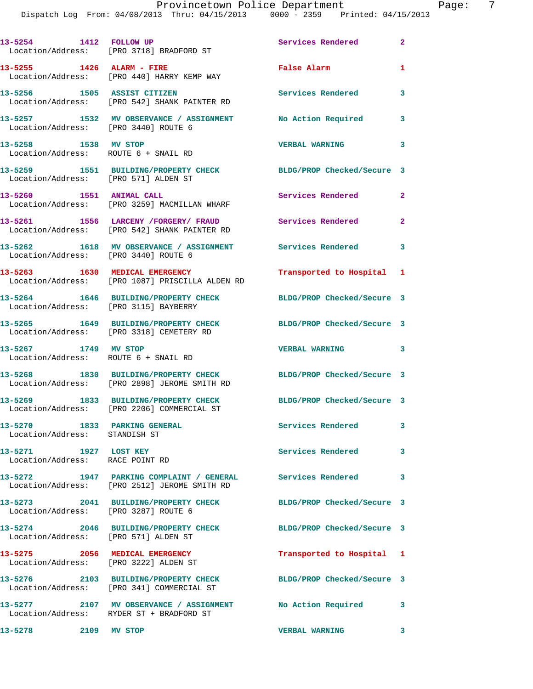Dispatch Log From: 04/08/2013 Thru: 04/15/2013 0000 - 2359 Printed: 04/15/2013

|                                                               | 13-5254 1412 FOLLOW UP<br>Location/Address: [PRO 3718] BRADFORD ST                                         | Services Rendered                          | $\mathbf{2}$   |
|---------------------------------------------------------------|------------------------------------------------------------------------------------------------------------|--------------------------------------------|----------------|
| 13-5255 1426 ALARM - FIRE                                     | Location/Address: [PRO 440] HARRY KEMP WAY                                                                 | False Alarm                                | $\mathbf{1}$   |
| 13-5256 1505 ASSIST CITIZEN                                   | Location/Address: [PRO 542] SHANK PAINTER RD                                                               | Services Rendered                          | 3              |
| Location/Address: [PRO 3440] ROUTE 6                          | 13-5257 1532 MV OBSERVANCE / ASSIGNMENT                                                                    | No Action Required                         | 3              |
| 13-5258 1538 MV STOP<br>Location/Address: ROUTE 6 + SNAIL RD  |                                                                                                            | <b>VERBAL WARNING</b>                      | 3              |
| Location/Address: [PRO 571] ALDEN ST                          | 13-5259 1551 BUILDING/PROPERTY CHECK                                                                       | BLDG/PROP Checked/Secure 3                 |                |
| 13-5260 1551 ANIMAL CALL                                      | Location/Address: [PRO 3259] MACMILLAN WHARF                                                               | Services Rendered                          | $\overline{2}$ |
|                                                               | 13-5261 1556 LARCENY / FORGERY / FRAUD<br>Location/Address: [PRO 542] SHANK PAINTER RD                     | Services Rendered                          | $\mathbf{2}$   |
| Location/Address: [PRO 3440] ROUTE 6                          | 13-5262 1618 MV OBSERVANCE / ASSIGNMENT Services Rendered                                                  |                                            | 3              |
|                                                               | 13-5263 1630 MEDICAL EMERGENCY<br>Location/Address: [PRO 1087] PRISCILLA ALDEN RD                          | Transported to Hospital 1                  |                |
| Location/Address: [PRO 3115] BAYBERRY                         | 13-5264 1646 BUILDING/PROPERTY CHECK                                                                       | BLDG/PROP Checked/Secure 3                 |                |
|                                                               | 13-5265 1649 BUILDING/PROPERTY CHECK<br>Location/Address: [PRO 3318] CEMETERY RD                           | BLDG/PROP Checked/Secure 3                 |                |
| 13-5267 1749 MV STOP<br>Location/Address: ROUTE 6 + SNAIL RD  |                                                                                                            | VERBAL WARNING 3                           |                |
|                                                               | 13-5268 1830 BUILDING/PROPERTY CHECK<br>Location/Address: [PRO 2898] JEROME SMITH RD                       | BLDG/PROP Checked/Secure 3                 |                |
|                                                               | 13-5269 1833 BUILDING/PROPERTY CHECK<br>Location/Address: [PRO 2206] COMMERCIAL ST                         | BLDG/PROP Checked/Secure 3                 |                |
| 13-5270 1833 PARKING GENERAL<br>Location/Address: STANDISH ST |                                                                                                            | <b>Services Rendered</b>                   | 3              |
| 13-5271 1927 LOST KEY<br>Location/Address: RACE POINT RD      |                                                                                                            | Services Rendered                          | 3              |
|                                                               | 13-5272 1947 PARKING COMPLAINT / GENERAL Services Rendered<br>Location/Address: [PRO 2512] JEROME SMITH RD |                                            | 3              |
| Location/Address: [PRO 3287] ROUTE 6                          | 13-5273 2041 BUILDING/PROPERTY CHECK                                                                       | BLDG/PROP Checked/Secure 3                 |                |
| Location/Address: [PRO 571] ALDEN ST                          | 13-5274 2046 BUILDING/PROPERTY CHECK                                                                       | BLDG/PROP Checked/Secure 3                 |                |
| 13-5275 2056 MEDICAL EMERGENCY                                | Location/Address: [PRO 3222] ALDEN ST                                                                      | Transported to Hospital 1                  |                |
|                                                               | 13-5276 2103 BUILDING/PROPERTY CHECK<br>Location/Address: [PRO 341] COMMERCIAL ST                          | BLDG/PROP Checked/Secure 3                 |                |
|                                                               | 13-5277 2107 MV OBSERVANCE / ASSIGNMENT No Action Required 3<br>Location/Address: RYDER ST + BRADFORD ST   |                                            |                |
| 13-5278 2109 MV STOP                                          |                                                                                                            | <b>VERBAL WARNING</b><br>$\sim$ 3 $\sim$ 3 |                |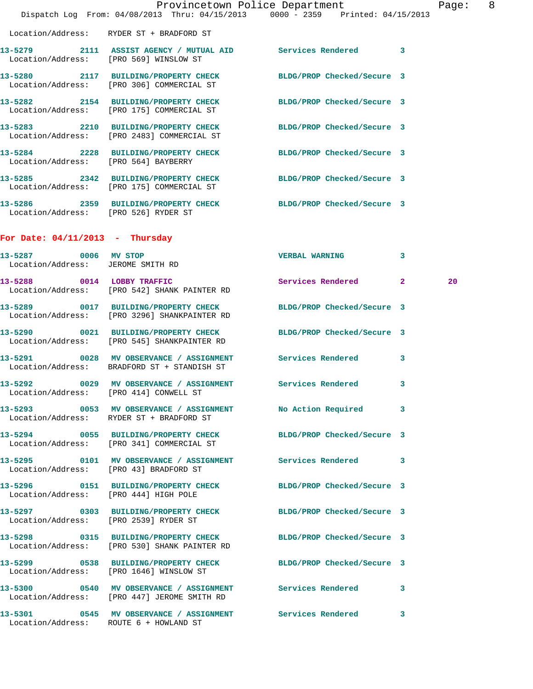|                                                           | Dispatch Log From: 04/08/2013 Thru: 04/15/2013 0000 - 2359 Printed: 04/15/2013                               | Provincetown Police Department | Page: 8 |  |
|-----------------------------------------------------------|--------------------------------------------------------------------------------------------------------------|--------------------------------|---------|--|
|                                                           | Location/Address: RYDER ST + BRADFORD ST                                                                     |                                |         |  |
|                                                           | 13-5279 2111 ASSIST AGENCY / MUTUAL AID Services Rendered 3<br>Location/Address: [PRO 569] WINSLOW ST        |                                |         |  |
|                                                           | 13-5280 2117 BUILDING/PROPERTY CHECK BLDG/PROP Checked/Secure 3<br>Location/Address: [PRO 306] COMMERCIAL ST |                                |         |  |
|                                                           | 13-5282 2154 BUILDING/PROPERTY CHECK<br>Location/Address: [PRO 175] COMMERCIAL ST                            | BLDG/PROP Checked/Secure 3     |         |  |
|                                                           | 13-5283 2210 BUILDING/PROPERTY CHECK<br>Location/Address: [PRO 2483] COMMERCIAL ST                           | BLDG/PROP Checked/Secure 3     |         |  |
| Location/Address: [PRO 564] BAYBERRY                      | 13-5284 2228 BUILDING/PROPERTY CHECK                                                                         | BLDG/PROP Checked/Secure 3     |         |  |
|                                                           | 13-5285 2342 BUILDING/PROPERTY CHECK<br>Location/Address: [PRO 175] COMMERCIAL ST                            | BLDG/PROP Checked/Secure 3     |         |  |
| Location/Address: [PRO 526] RYDER ST                      | 13-5286 2359 BUILDING/PROPERTY CHECK BLDG/PROP Checked/Secure 3                                              |                                |         |  |
| For Date: $04/11/2013$ - Thursday                         |                                                                                                              |                                |         |  |
| 13-5287 0006 MV STOP<br>Location/Address: JEROME SMITH RD |                                                                                                              | VERBAL WARNING 3               |         |  |
|                                                           | 13-5288 0014 LOBBY TRAFFIC<br>Location/Address: [PRO 542] SHANK PAINTER RD                                   | Services Rendered 2            | 20      |  |
|                                                           | 13-5289 0017 BUILDING/PROPERTY CHECK<br>Location/Address: [PRO 3296] SHANKPAINTER RD                         | BLDG/PROP Checked/Secure 3     |         |  |
|                                                           | 13-5290 0021 BUILDING/PROPERTY CHECK<br>Location/Address: [PRO 545] SHANKPAINTER RD                          | BLDG/PROP Checked/Secure 3     |         |  |
|                                                           | 13-5291 0028 MV OBSERVANCE / ASSIGNMENT Services Rendered 3<br>Location/Address: BRADFORD ST + STANDISH ST   |                                |         |  |
|                                                           | 13-5292 0029 MV OBSERVANCE / ASSIGNMENT Services Rendered<br>Location/Address: [PRO 414] CONWELL ST          |                                | 3       |  |
|                                                           | 13-5293 0053 MV OBSERVANCE / ASSIGNMENT No Action Required 3<br>Location/Address: RYDER ST + BRADFORD ST     |                                |         |  |
|                                                           | 13-5294 0055 BUILDING/PROPERTY CHECK BLDG/PROP Checked/Secure 3<br>Location/Address: [PRO 341] COMMERCIAL ST |                                |         |  |
| Location/Address: [PRO 43] BRADFORD ST                    | 13-5295 0101 MV OBSERVANCE / ASSIGNMENT Services Rendered 3                                                  |                                |         |  |
| Location/Address: [PRO 444] HIGH POLE                     | 13-5296 0151 BUILDING/PROPERTY CHECK BLDG/PROP Checked/Secure 3                                              |                                |         |  |
| Location/Address: [PRO 2539] RYDER ST                     | 13-5297 0303 BUILDING/PROPERTY CHECK BLDG/PROP Checked/Secure 3                                              |                                |         |  |
|                                                           | 13-5298 0315 BUILDING/PROPERTY CHECK<br>Location/Address: [PRO 530] SHANK PAINTER RD                         | BLDG/PROP Checked/Secure 3     |         |  |
|                                                           | 13-5299 0538 BUILDING/PROPERTY CHECK BLDG/PROP Checked/Secure 3<br>Location/Address: [PRO 1646] WINSLOW ST   |                                |         |  |
|                                                           | 13-5300 0540 MV OBSERVANCE / ASSIGNMENT Services Rendered<br>Location/Address: [PRO 447] JEROME SMITH RD     |                                | 3       |  |
|                                                           | 13-5301 0545 MV OBSERVANCE / ASSIGNMENT Services Rendered 3<br>Location/Address: ROUTE 6 + HOWLAND ST        |                                |         |  |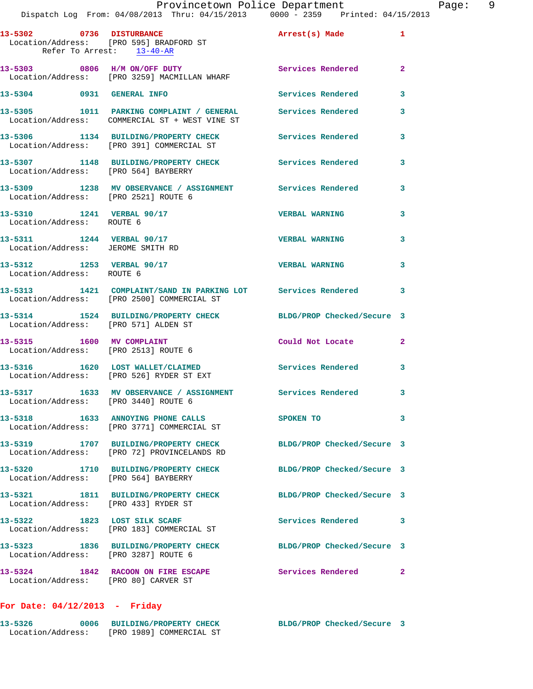|                           | 13-5302 0736 DISTURBANCE<br>Location/Address: [PRO 595] BRADFORD ST                                        | Arrest(s) Made             | $\mathbf{1}$   |
|---------------------------|------------------------------------------------------------------------------------------------------------|----------------------------|----------------|
|                           | Refer To Arrest: 13-40-AR                                                                                  |                            |                |
|                           | 13-5303 0806 H/M ON/OFF DUTY<br>Location/Address: [PRO 3259] MACMILLAN WHARF                               | <b>Services Rendered</b>   | $\mathbf{2}$   |
|                           | 13-5304 0931 GENERAL INFO                                                                                  | <b>Services Rendered</b>   | 3              |
|                           | 13-5305 1011 PARKING COMPLAINT / GENERAL<br>Location/Address: COMMERCIAL ST + WEST VINE ST                 | <b>Services Rendered</b>   | 3              |
|                           | 13-5306 1134 BUILDING/PROPERTY CHECK<br>Location/Address: [PRO 391] COMMERCIAL ST                          | <b>Services Rendered</b>   | 3              |
|                           | 13-5307 1148 BUILDING/PROPERTY CHECK<br>Location/Address: [PRO 564] BAYBERRY                               | <b>Services Rendered</b>   | 3              |
|                           | 13-5309 1238 MV OBSERVANCE / ASSIGNMENT Services Rendered<br>Location/Address: [PRO 2521] ROUTE 6          |                            | 3              |
| Location/Address: ROUTE 6 | 13-5310 1241 VERBAL 90/17                                                                                  | <b>VERBAL WARNING</b>      | 3              |
|                           | 13-5311 1244 VERBAL 90/17<br>Location/Address: JEROME SMITH RD                                             | <b>VERBAL WARNING</b>      | 3              |
| Location/Address: ROUTE 6 | 13-5312 1253 VERBAL 90/17                                                                                  | <b>VERBAL WARNING</b>      | 3              |
|                           | 13-5313 1421 COMPLAINT/SAND IN PARKING LOT Services Rendered<br>Location/Address: [PRO 2500] COMMERCIAL ST |                            | 3              |
|                           | 13-5314 1524 BUILDING/PROPERTY CHECK<br>Location/Address: [PRO 571] ALDEN ST                               | BLDG/PROP Checked/Secure 3 |                |
|                           | 13-5315 1600 MV COMPLAINT<br>Location/Address: [PRO 2513] ROUTE 6                                          | Could Not Locate           | $\overline{2}$ |
|                           | 13-5316 1620 LOST WALLET/CLAIMED<br>Location/Address: [PRO 526] RYDER ST EXT                               | Services Rendered          | 3              |
|                           | 13-5317 1633 MV OBSERVANCE / ASSIGNMENT Services Rendered<br>Location/Address: [PRO 3440] ROUTE 6          |                            | 3              |
|                           | 13-5318 1633 ANNOYING PHONE CALLS<br>Location/Address: [PRO 3771] COMMERCIAL ST                            | SPOKEN TO                  | 3              |
|                           | 13-5319 1707 BUILDING/PROPERTY CHECK<br>Location/Address: [PRO 72] PROVINCELANDS RD                        | BLDG/PROP Checked/Secure 3 |                |
|                           | 13-5320 1710 BUILDING/PROPERTY CHECK<br>Location/Address: [PRO 564] BAYBERRY                               | BLDG/PROP Checked/Secure 3 |                |
|                           | 13-5321 1811 BUILDING/PROPERTY CHECK<br>Location/Address: [PRO 433] RYDER ST                               | BLDG/PROP Checked/Secure 3 |                |
| 13-5322                   | 1823 LOST SILK SCARF<br>Location/Address: [PRO 183] COMMERCIAL ST                                          | Services Rendered          | 3              |
|                           | 13-5323 1836 BUILDING/PROPERTY CHECK<br>Location/Address: [PRO 3287] ROUTE 6                               | BLDG/PROP Checked/Secure 3 |                |
|                           | 13-5324 1842 RACOON ON FIRE ESCAPE<br>Location/Address: [PRO 80] CARVER ST                                 | Services Rendered          | $\overline{2}$ |

## **For Date: 04/12/2013 - Friday**

| 13-5326           | 0006 | <b>BUILDING/PROPERTY CHECK</b> | BLDG/PROP Checked/Secure 3 |  |
|-------------------|------|--------------------------------|----------------------------|--|
| Location/Address: |      | [PRO 1989] COMMERCIAL ST       |                            |  |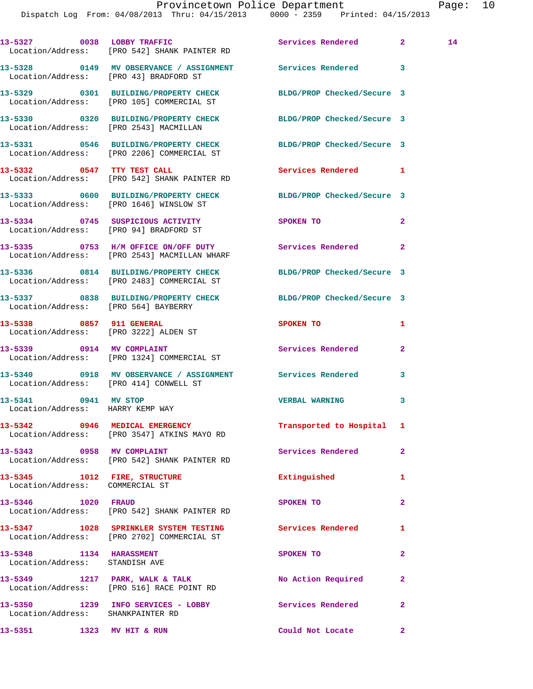Dispatch Log From: 04/08/2013 Thru: 04/15/2013 0000 - 2359 Printed: 04/15/2013

**13-5327 0038 LOBBY TRAFFIC Services Rendered 2 14**  Location/Address: [PRO 542] SHANK PAINTER RD **13-5328 0149 MV OBSERVANCE / ASSIGNMENT Services Rendered 3**  Location/Address: [PRO 43] BRADFORD ST **13-5329 0301 BUILDING/PROPERTY CHECK BLDG/PROP Checked/Secure 3**  Location/Address: [PRO 105] COMMERCIAL ST **13-5330 0320 BUILDING/PROPERTY CHECK BLDG/PROP Checked/Secure 3**  Location/Address: [PRO 2543] MACMILLAN **13-5331 0546 BUILDING/PROPERTY CHECK BLDG/PROP Checked/Secure 3**  Location/Address: [PRO 2206] COMMERCIAL ST **13-5332 0547 TTY TEST CALL Services Rendered 1**  Location/Address: [PRO 542] SHANK PAINTER RD **13-5333 0600 BUILDING/PROPERTY CHECK BLDG/PROP Checked/Secure 3**  Location/Address: [PRO 1646] WINSLOW ST **13-5334 0745 SUSPICIOUS ACTIVITY SPOKEN TO 2**  Location/Address: [PRO 94] BRADFORD ST **13-5335 0753 H/M OFFICE ON/OFF DUTY Services Rendered 2**  Location/Address: [PRO 2543] MACMILLAN WHARF **13-5336 0814 BUILDING/PROPERTY CHECK BLDG/PROP Checked/Secure 3**  Location/Address: [PRO 2483] COMMERCIAL ST **13-5337 0838 BUILDING/PROPERTY CHECK BLDG/PROP Checked/Secure 3**  Location/Address: [PRO 564] BAYBERRY **13-5338 0857 911 GENERAL SPOKEN TO 1**  Location/Address: [PRO 3222] ALDEN ST 13-5339 0914 MV COMPLAINT **Services Rendered** 2 Location/Address: [PRO 1324] COMMERCIAL ST **13-5340 0918 MV OBSERVANCE / ASSIGNMENT Services Rendered 3**  Location/Address: [PRO 414] CONWELL ST **13-5341 0941 MV STOP VERBAL WARNING 3**  Location/Address: HARRY KEMP WAY **13-5342 0946 MEDICAL EMERGENCY Transported to Hospital 1**  Location/Address: [PRO 3547] ATKINS MAYO RD 13-5343 **0958 MV COMPLAINT 13-5343 13-5343 2**  Location/Address: [PRO 542] SHANK PAINTER RD **13-5345 1012 FIRE, STRUCTURE Extinguished 1**  Location/Address: COMMERCIAL ST **13-5346 1020 FRAUD SPOKEN TO 2**  Location/Address: [PRO 542] SHANK PAINTER RD **13-5347 1028 SPRINKLER SYSTEM TESTING Services Rendered 1**  Location/Address: [PRO 2702] COMMERCIAL ST **13-5348 1134 HARASSMENT SPOKEN TO 2**  Location/Address: STANDISH AVE 13-5349 1217 PARK, WALK & TALK **No Action Required** 2 Location/Address: [PRO 516] RACE POINT RD **13-5350 1239 INFO SERVICES - LOBBY Services Rendered 2**  Location/Address: SHANKPAINTER RD

**13-5351 1323 MV HIT & RUN Could Not Locate 2**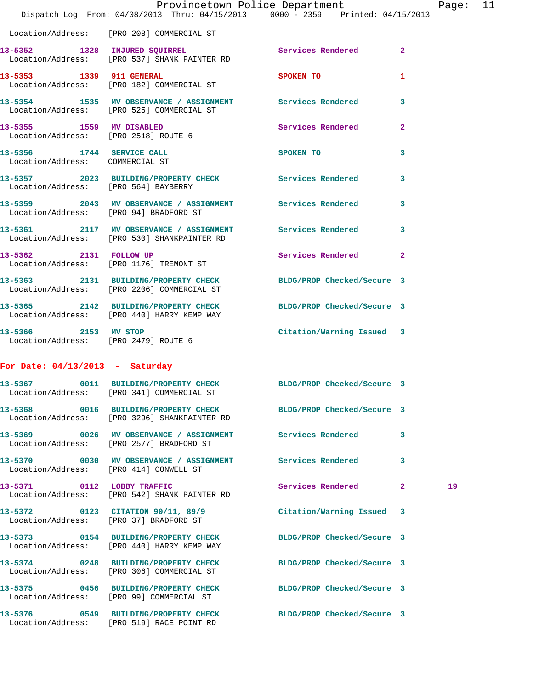|                                                              | Dispatch Log From: 04/08/2013 Thru: 04/15/2013 0000 - 2359 Printed: 04/15/2013                                  | Provincetown Police Department                       |              | Page: | 11 |
|--------------------------------------------------------------|-----------------------------------------------------------------------------------------------------------------|------------------------------------------------------|--------------|-------|----|
|                                                              | Location/Address: [PRO 208] COMMERCIAL ST                                                                       |                                                      |              |       |    |
|                                                              | 13-5352 1328 INJURED SQUIRREL Services Rendered 2<br>Location/Address: [PRO 537] SHANK PAINTER RD               |                                                      |              |       |    |
|                                                              | 13-5353 1339 911 GENERAL<br>Location/Address: [PRO 182] COMMERCIAL ST                                           | SPOKEN TO                                            | $\mathbf{1}$ |       |    |
|                                                              | 13-5354 1535 MV OBSERVANCE / ASSIGNMENT Services Rendered<br>Location/Address: [PRO 525] COMMERCIAL ST          |                                                      | 3            |       |    |
| Location/Address: [PRO 2518] ROUTE 6                         | 13-5355 1559 MV DISABLED                                                                                        | Services Rendered                                    | $\mathbf{2}$ |       |    |
| 13-5356 1744 SERVICE CALL<br>Location/Address: COMMERCIAL ST |                                                                                                                 | SPOKEN TO AND TO A REAL PROPERTY OF A REAL PROPERTY. | 3            |       |    |
| Location/Address: [PRO 564] BAYBERRY                         | 13-5357 2023 BUILDING/PROPERTY CHECK Services Rendered                                                          |                                                      | 3            |       |    |
| Location/Address: [PRO 94] BRADFORD ST                       | 13-5359 2043 MV OBSERVANCE / ASSIGNMENT Services Rendered                                                       |                                                      | 3            |       |    |
|                                                              | 13-5361 2117 MV OBSERVANCE / ASSIGNMENT Services Rendered<br>Location/Address: [PRO 530] SHANKPAINTER RD        |                                                      | 3            |       |    |
| 13-5362 2131 FOLLOW UP                                       | Location/Address: [PRO 1176] TREMONT ST                                                                         | Services Rendered 2                                  |              |       |    |
|                                                              | 13-5363 2131 BUILDING/PROPERTY CHECK BLDG/PROP Checked/Secure 3<br>Location/Address: [PRO 2206] COMMERCIAL ST   |                                                      |              |       |    |
|                                                              | 13-5365 2142 BUILDING/PROPERTY CHECK BLDG/PROP Checked/Secure 3<br>Location/Address: [PRO 440] HARRY KEMP WAY   |                                                      |              |       |    |
| Location/Address: [PRO 2479] ROUTE 6                         | 13-5366 2153 MV STOP                                                                                            | Citation/Warning Issued 3                            |              |       |    |
| For Date: $04/13/2013$ - Saturday                            |                                                                                                                 |                                                      |              |       |    |
|                                                              | 13-5367 0011 BUILDING/PROPERTY CHECK BLDG/PROP Checked/Secure 3<br>Location/Address: [PRO 341] COMMERCIAL ST    |                                                      |              |       |    |
|                                                              | 13-5368 0016 BUILDING/PROPERTY CHECK BLDG/PROP Checked/Secure 3<br>Location/Address: [PRO 3296] SHANKPAINTER RD |                                                      |              |       |    |
|                                                              | 13-5369 0026 MV OBSERVANCE / ASSIGNMENT Services Rendered<br>Location/Address: [PRO 2577] BRADFORD ST           |                                                      | 3            |       |    |
| Location/Address: [PRO 414] CONWELL ST                       | 13-5370 0030 MV OBSERVANCE / ASSIGNMENT Services Rendered                                                       |                                                      | 3            |       |    |
|                                                              | 13-5371 0112 LOBBY TRAFFIC<br>Location/Address: [PRO 542] SHANK PAINTER RD                                      | Services Rendered                                    | $\mathbf{2}$ | 19    |    |
|                                                              | 13-5372 0123 CITATION 90/11, 89/9<br>Location/Address: [PRO 37] BRADFORD ST                                     | Citation/Warning Issued 3                            |              |       |    |
|                                                              | 13-5373 0154 BUILDING/PROPERTY CHECK<br>Location/Address: [PRO 440] HARRY KEMP WAY                              | BLDG/PROP Checked/Secure 3                           |              |       |    |
|                                                              | 13-5374 0248 BUILDING/PROPERTY CHECK BLDG/PROP Checked/Secure 3<br>Location/Address: [PRO 306] COMMERCIAL ST    |                                                      |              |       |    |
|                                                              | 13-5375 0456 BUILDING/PROPERTY CHECK<br>Location/Address: [PRO 99] COMMERCIAL ST                                | BLDG/PROP Checked/Secure 3                           |              |       |    |
|                                                              | 13-5376 0549 BUILDING/PROPERTY CHECK<br>Location/Address: [PRO 519] RACE POINT RD                               | BLDG/PROP Checked/Secure 3                           |              |       |    |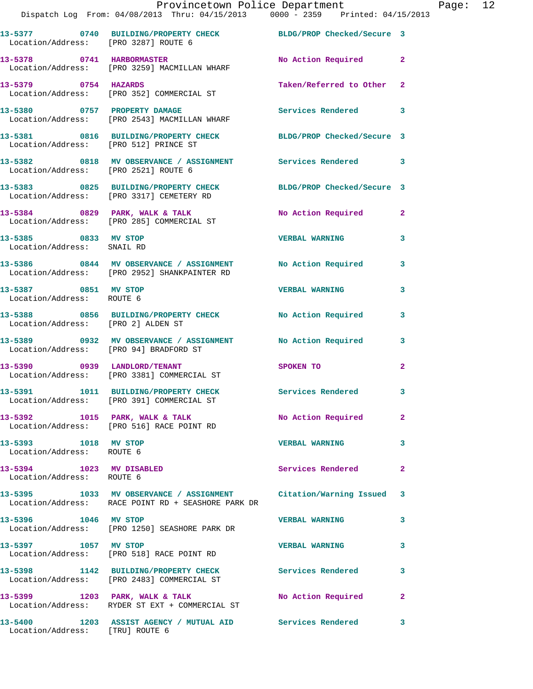|                                                       | Provincetown Police Department The Page: 12<br>Dispatch Log From: 04/08/2013 Thru: 04/15/2013 0000 - 2359 Printed: 04/15/2013 |                           |                |  |
|-------------------------------------------------------|-------------------------------------------------------------------------------------------------------------------------------|---------------------------|----------------|--|
| Location/Address: [PRO 3287] ROUTE 6                  | 13-5377 0740 BUILDING/PROPERTY CHECK BLDG/PROP Checked/Secure 3                                                               |                           |                |  |
|                                                       | 13-5378 0741 HARBORMASTER<br>Location/Address: [PRO 3259] MACMILLAN WHARF                                                     | No Action Required 2      |                |  |
|                                                       | 13-5379 0754 HAZARDS<br>Location/Address: [PRO 352] COMMERCIAL ST                                                             | Taken/Referred to Other 2 |                |  |
|                                                       | 13-5380      0757   PROPERTY DAMAGE<br>Location/Address:   [PRO 2543] MACMILLAN WHARF                                         | Services Rendered 3       |                |  |
|                                                       | 13-5381 0816 BUILDING/PROPERTY CHECK BLDG/PROP Checked/Secure 3<br>Location/Address: [PRO 512] PRINCE ST                      |                           |                |  |
| Location/Address: [PRO 2521] ROUTE 6                  | 13-5382 0818 MV OBSERVANCE / ASSIGNMENT Services Rendered 3                                                                   |                           |                |  |
|                                                       | 13-5383 0825 BUILDING/PROPERTY CHECK BLDG/PROP Checked/Secure 3<br>Location/Address: [PRO 3317] CEMETERY RD                   |                           |                |  |
|                                                       | 13-5384 0829 PARK, WALK & TALK NO Action Required 2<br>Location/Address: [PRO 285] COMMERCIAL ST                              |                           |                |  |
| 13-5385 0833 MV STOP<br>Location/Address: SNAIL RD    |                                                                                                                               | <b>VERBAL WARNING 3</b>   |                |  |
|                                                       | 13-5386 0844 MV OBSERVANCE / ASSIGNMENT No Action Required<br>Location/Address: [PRO 2952] SHANKPAINTER RD                    |                           | $\mathbf{3}$   |  |
| 13-5387 0851 MV STOP<br>Location/Address: ROUTE 6     |                                                                                                                               | <b>VERBAL WARNING</b>     | 3              |  |
| Location/Address: [PRO 2] ALDEN ST                    | 13-5388 0856 BUILDING/PROPERTY CHECK No Action Required                                                                       |                           | 3              |  |
|                                                       | 13-5389 0932 MV OBSERVANCE / ASSIGNMENT No Action Required 3<br>Location/Address: [PRO 94] BRADFORD ST                        |                           |                |  |
|                                                       |                                                                                                                               | SPOKEN TO                 | $\mathbf{2}$   |  |
|                                                       | 13-5391 1011 BUILDING/PROPERTY CHECK<br>Location/Address: [PRO 391] COMMERCIAL ST                                             | <b>Services Rendered</b>  |                |  |
|                                                       | 13-5392 1015 PARK, WALK & TALK NO Action Required<br>Location/Address: [PRO 516] RACE POINT RD                                |                           | $\overline{2}$ |  |
| 13-5393 1018 MV STOP<br>Location/Address: ROUTE 6     |                                                                                                                               | <b>VERBAL WARNING</b>     | 3              |  |
| 13-5394 1023 MV DISABLED<br>Location/Address: ROUTE 6 |                                                                                                                               | Services Rendered         | $\mathbf{2}$   |  |
|                                                       | 13-5395 1033 MV OBSERVANCE / ASSIGNMENT Citation/Warning Issued 3<br>Location/Address: RACE POINT RD + SEASHORE PARK DR       |                           |                |  |
| 13-5396 1046 MV STOP                                  | Location/Address: [PRO 1250] SEASHORE PARK DR                                                                                 | <b>VERBAL WARNING</b>     | 3              |  |
| 13-5397 1057 MV STOP                                  | Location/Address: [PRO 518] RACE POINT RD                                                                                     | <b>VERBAL WARNING</b>     | 3              |  |
|                                                       | 13-5398 1142 BUILDING/PROPERTY CHECK Services Rendered<br>Location/Address: [PRO 2483] COMMERCIAL ST                          |                           | 3              |  |
|                                                       | 13-5399 1203 PARK, WALK & TALK 1999 No Action Required<br>Location/Address: RYDER ST EXT + COMMERCIAL ST                      |                           | 2              |  |
| Location/Address: [TRU] ROUTE 6                       | 13-5400 1203 ASSIST AGENCY / MUTUAL AID Services Rendered                                                                     |                           | 3              |  |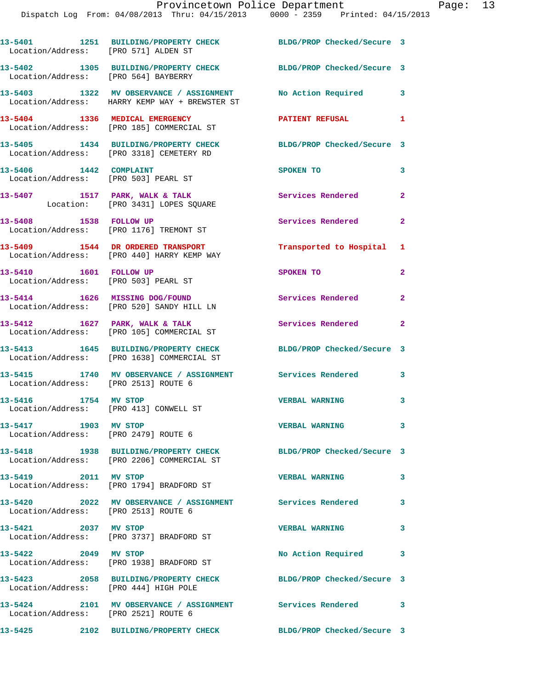| Location/Address: [PRO 571] ALDEN ST                               | 13-5401 1251 BUILDING/PROPERTY CHECK                                                                           | BLDG/PROP Checked/Secure 3 |                         |
|--------------------------------------------------------------------|----------------------------------------------------------------------------------------------------------------|----------------------------|-------------------------|
| Location/Address: [PRO 564] BAYBERRY                               | 13-5402 1305 BUILDING/PROPERTY CHECK                                                                           | BLDG/PROP Checked/Secure 3 |                         |
|                                                                    | 13-5403 1322 MV OBSERVANCE / ASSIGNMENT No Action Required 3<br>Location/Address: HARRY KEMP WAY + BREWSTER ST |                            |                         |
| 13-5404 1336 MEDICAL EMERGENCY                                     | Location/Address: [PRO 185] COMMERCIAL ST                                                                      | PATIENT REFUSAL            | $\mathbf{1}$            |
|                                                                    | 13-5405 1434 BUILDING/PROPERTY CHECK<br>Location/Address: [PRO 3318] CEMETERY RD                               | BLDG/PROP Checked/Secure 3 |                         |
| 13-5406 1442 COMPLAINT                                             | Location/Address: [PRO 503] PEARL ST                                                                           | SPOKEN TO                  | 3                       |
|                                                                    | 13-5407 1517 PARK, WALK & TALK<br>Location: [PRO 3431] LOPES SQUARE                                            | <b>Services Rendered</b> 2 |                         |
| 13-5408 1538 FOLLOW UP                                             | Location/Address: [PRO 1176] TREMONT ST                                                                        | Services Rendered 2        |                         |
|                                                                    | 13-5409 1544 DR ORDERED TRANSPORT<br>Location/Address: [PRO 440] HARRY KEMP WAY                                | Transported to Hospital 1  |                         |
| 13-5410   1601   FOLLOW UP<br>Location/Address: [PRO 503] PEARL ST |                                                                                                                | SPOKEN TO                  | $\mathbf{2}$            |
|                                                                    | 13-5414 1626 MISSING DOG/FOUND<br>Location/Address: [PRO 520] SANDY HILL LN                                    | Services Rendered 2        |                         |
| $13-5412$ 1627 PARK, WALK & TALK                                   | Location/Address: [PRO 105] COMMERCIAL ST                                                                      | Services Rendered          | $\mathbf{2}$            |
|                                                                    | 13-5413 1645 BUILDING/PROPERTY CHECK<br>Location/Address: [PRO 1638] COMMERCIAL ST                             | BLDG/PROP Checked/Secure 3 |                         |
| Location/Address: [PRO 2513] ROUTE 6                               | 13-5415 1740 MV OBSERVANCE / ASSIGNMENT Services Rendered                                                      |                            | 3                       |
| 13-5416 1754 MV STOP<br>Location/Address: [PRO 413] CONWELL ST     |                                                                                                                | <b>VERBAL WARNING</b>      | $\overline{\mathbf{3}}$ |
| 13-5417 1903 MV STOP<br>Location/Address: [PRO 2479] ROUTE 6       |                                                                                                                | <b>VERBAL WARNING</b>      | $\mathbf{3}$            |
|                                                                    | 13-5418 1938 BUILDING/PROPERTY CHECK<br>Location/Address: [PRO 2206] COMMERCIAL ST                             | BLDG/PROP Checked/Secure 3 |                         |
| 13-5419 2011 MV STOP                                               | Location/Address: [PRO 1794] BRADFORD ST                                                                       | <b>VERBAL WARNING</b>      | $\mathbf{3}$            |
| Location/Address: [PRO 2513] ROUTE 6                               | 13-5420 2022 MV OBSERVANCE / ASSIGNMENT Services Rendered                                                      |                            | 3                       |
| 13-5421 2037 MV STOP                                               | Location/Address: [PRO 3737] BRADFORD ST                                                                       | <b>VERBAL WARNING</b>      | 3                       |
| 13-5422 2049 MV STOP                                               | Location/Address: [PRO 1938] BRADFORD ST                                                                       | No Action Required         | 3                       |
| Location/Address: [PRO 444] HIGH POLE                              | 13-5423 2058 BUILDING/PROPERTY CHECK                                                                           | BLDG/PROP Checked/Secure 3 |                         |
| Location/Address: [PRO 2521] ROUTE 6                               | 13-5424 2101 MV OBSERVANCE / ASSIGNMENT Services Rendered                                                      |                            | 3                       |
|                                                                    | 13-5425 2102 BUILDING/PROPERTY CHECK                                                                           | BLDG/PROP Checked/Secure 3 |                         |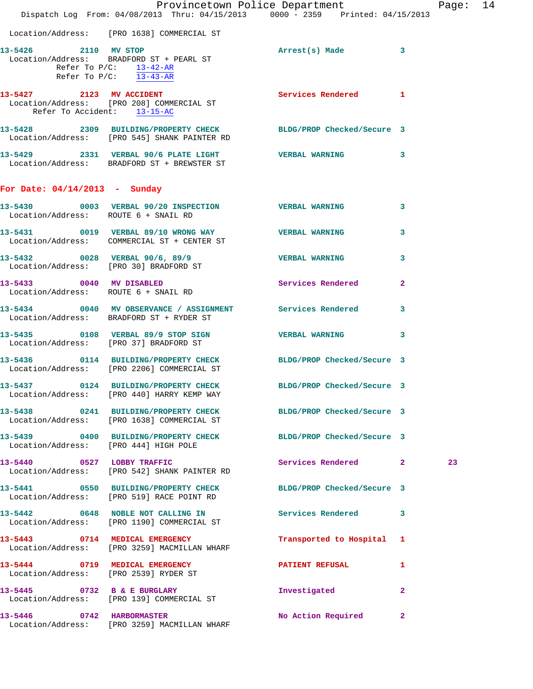|                                                                  | Dispatch Log From: 04/08/2013 Thru: 04/15/2013 0000 - 2359 Printed: 04/15/2013                                  | Provincetown Police Department |              | Page: 14 |  |
|------------------------------------------------------------------|-----------------------------------------------------------------------------------------------------------------|--------------------------------|--------------|----------|--|
|                                                                  | Location/Address: [PRO 1638] COMMERCIAL ST                                                                      |                                |              |          |  |
| 13-5426 2110 MV STOP                                             | Location/Address: BRADFORD ST + PEARL ST<br>Refer To $P/C$ : 13-42-AR<br>Refer To P/C: $\overline{13-43-AR}$    | Arrest(s) Made 3               |              |          |  |
|                                                                  | 13-5427 2123 MV ACCIDENT<br>Location/Address: [PRO 208] COMMERCIAL ST<br>Refer To Accident: 13-15-AC            | <b>Services Rendered</b> 1     |              |          |  |
|                                                                  | 13-5428 2309 BUILDING/PROPERTY CHECK BLDG/PROP Checked/Secure 3<br>Location/Address: [PRO 545] SHANK PAINTER RD |                                |              |          |  |
|                                                                  | 13-5429 2331 VERBAL 90/6 PLATE LIGHT VERBAL WARNING 3<br>Location/Address: BRADFORD ST + BREWSTER ST            |                                |              |          |  |
| For Date: $04/14/2013$ - Sunday                                  |                                                                                                                 |                                |              |          |  |
| Location/Address: ROUTE 6 + SNAIL RD                             | 13-5430 0003 VERBAL 90/20 INSPECTION VERBAL WARNING 3                                                           |                                |              |          |  |
|                                                                  | 13-5431 0019 VERBAL 89/10 WRONG WAY VERBAL WARNING<br>Location/Address: COMMERCIAL ST + CENTER ST               |                                | $\mathbf{3}$ |          |  |
|                                                                  | 13-5432 0028 VERBAL 90/6, 89/9 7ERBAL WARNING<br>Location/Address: [PRO 30] BRADFORD ST                         |                                | $\mathbf{3}$ |          |  |
| 13-5433 0040 MV DISABLED<br>Location/Address: ROUTE 6 + SNAIL RD |                                                                                                                 | <b>Services Rendered</b>       | $\mathbf{2}$ |          |  |
|                                                                  | 13-5434 0040 MV OBSERVANCE / ASSIGNMENT Services Rendered<br>Location/Address: BRADFORD ST + RYDER ST           |                                | 3            |          |  |
|                                                                  | 13-5435 0108 VERBAL 89/9 STOP SIGN VERBAL WARNING 3<br>Location/Address: [PRO 37] BRADFORD ST                   |                                |              |          |  |
|                                                                  | 13-5436 0114 BUILDING/PROPERTY CHECK BLDG/PROP Checked/Secure 3<br>Location/Address: [PRO 2206] COMMERCIAL ST   |                                |              |          |  |
|                                                                  | 13-5437 0124 BUILDING/PROPERTY CHECK BLDG/PROP Checked/Secure 3<br>Location/Address: [PRO 440] HARRY KEMP WAY   |                                |              |          |  |
|                                                                  | 13-5438 0241 BUILDING/PROPERTY CHECK BLDG/PROP Checked/Secure 3<br>Location/Address: [PRO 1638] COMMERCIAL ST   |                                |              |          |  |
| Location/Address: [PRO 444] HIGH POLE                            | 13-5439 0400 BUILDING/PROPERTY CHECK BLDG/PROP Checked/Secure 3                                                 |                                |              |          |  |
|                                                                  | 13-5440 0527 LOBBY TRAFFIC<br>Location/Address: [PRO 542] SHANK PAINTER RD                                      | Services Rendered 2            |              | 23       |  |
|                                                                  | 13-5441 0550 BUILDING/PROPERTY CHECK BLDG/PROP Checked/Secure 3<br>Location/Address: [PRO 519] RACE POINT RD    |                                |              |          |  |
|                                                                  | 13-5442 0648 NOBLE NOT CALLING IN Services Rendered 3<br>Location/Address: [PRO 1190] COMMERCIAL ST             |                                |              |          |  |
|                                                                  | 13-5443 0714 MEDICAL EMERGENCY<br>Location/Address: [PRO 3259] MACMILLAN WHARF                                  | Transported to Hospital 1      |              |          |  |
|                                                                  | 13-5444 0719 MEDICAL EMERGENCY<br>Location/Address: [PRO 2539] RYDER ST                                         | <b>PATIENT REFUSAL</b>         | $\mathbf{1}$ |          |  |
|                                                                  | 13-5445 0732 B & E BURGLARY<br>Location/Address: [PRO 139] COMMERCIAL ST                                        | Investigated                   | $\mathbf{2}$ |          |  |
| 13-5446 0742 HARBORMASTER                                        | Location/Address: [PRO 3259] MACMILLAN WHARF                                                                    | No Action Required 2           |              |          |  |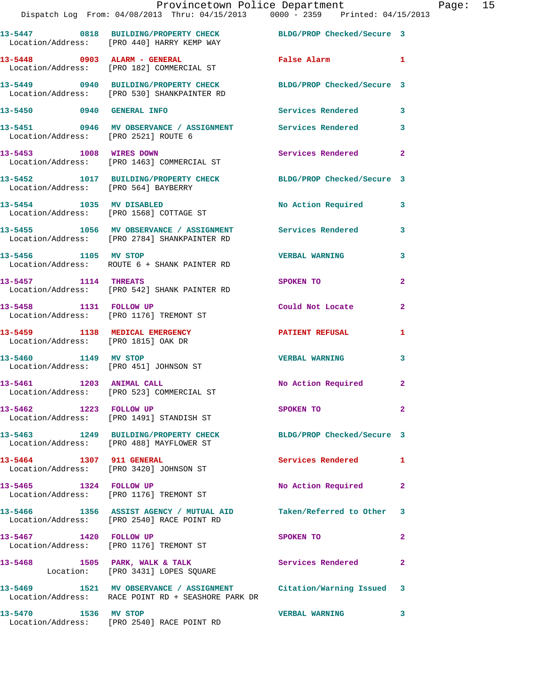|                                      | Provincetown Police Department<br>Dispatch Log From: 04/08/2013 Thru: 04/15/2013 0000 - 2359 Printed: 04/15/2013        |                       |                | Page: 15 |  |
|--------------------------------------|-------------------------------------------------------------------------------------------------------------------------|-----------------------|----------------|----------|--|
|                                      | 13-5447 0818 BUILDING/PROPERTY CHECK BLDG/PROP Checked/Secure 3<br>Location/Address: [PRO 440] HARRY KEMP WAY           |                       |                |          |  |
|                                      | 13-5448 0903 ALARM - GENERAL<br>Location/Address: [PRO 182] COMMERCIAL ST                                               | False Alarm 1         |                |          |  |
|                                      | 13-5449 0940 BUILDING/PROPERTY CHECK BLDG/PROP Checked/Secure 3<br>Location/Address: [PRO 530] SHANKPAINTER RD          |                       |                |          |  |
| 13-5450 0940 GENERAL INFO            |                                                                                                                         | Services Rendered 3   |                |          |  |
| Location/Address: [PRO 2521] ROUTE 6 | 13-5451 0946 MV OBSERVANCE / ASSIGNMENT Services Rendered                                                               |                       | 3              |          |  |
|                                      | 13-5453 1008 WIRES DOWN<br>Location/Address: [PRO 1463] COMMERCIAL ST                                                   | Services Rendered     | $\overline{2}$ |          |  |
| Location/Address: [PRO 564] BAYBERRY | 13-5452 1017 BUILDING/PROPERTY CHECK BLDG/PROP Checked/Secure 3                                                         |                       |                |          |  |
|                                      | 13-5454 1035 MV DISABLED<br>Location/Address: [PRO 1568] COTTAGE ST                                                     | No Action Required 3  |                |          |  |
|                                      | 13-5455 1056 MV OBSERVANCE / ASSIGNMENT Services Rendered<br>Location/Address: [PRO 2784] SHANKPAINTER RD               |                       | 3              |          |  |
| 13-5456 1105 MV STOP                 | Location/Address: ROUTE 6 + SHANK PAINTER RD                                                                            | <b>VERBAL WARNING</b> | 3              |          |  |
|                                      | 13-5457 1114 THREATS<br>Location/Address: [PRO 542] SHANK PAINTER RD                                                    | SPOKEN TO             | $\mathbf{2}$   |          |  |
| 13-5458 1131 FOLLOW UP               | Location/Address: [PRO 1176] TREMONT ST                                                                                 | Could Not Locate      | $\mathbf{2}$   |          |  |
| Location/Address: [PRO 1815] OAK DR  | 13-5459 1138 MEDICAL EMERGENCY PATIENT REFUSAL                                                                          |                       | 1              |          |  |
| 13-5460 1149 MV STOP                 | Location/Address: [PRO 451] JOHNSON ST                                                                                  | <b>VERBAL WARNING</b> | 3              |          |  |
| 13-5461 1203 ANIMAL CALL             | Location/Address: [PRO 523] COMMERCIAL ST                                                                               | No Action Required    | $\mathbf{2}$   |          |  |
| 13-5462 1223 FOLLOW UP               | Location/Address: [PRO 1491] STANDISH ST                                                                                | SPOKEN TO             | $\mathbf{2}$   |          |  |
|                                      | 13-5463 1249 BUILDING/PROPERTY CHECK BLDG/PROP Checked/Secure 3<br>Location/Address: [PRO 488] MAYFLOWER ST             |                       |                |          |  |
| 13-5464 1307 911 GENERAL             | Location/Address: [PRO 3420] JOHNSON ST                                                                                 | Services Rendered     | 1              |          |  |
|                                      | 13-5465 1324 FOLLOW UP<br>Location/Address: [PRO 1176] TREMONT ST                                                       | No Action Required    | $\overline{2}$ |          |  |
|                                      | 13-5466 1356 ASSIST AGENCY / MUTUAL AID Taken/Referred to Other 3<br>Location/Address: [PRO 2540] RACE POINT RD         |                       |                |          |  |
|                                      | 13-5467 1420 FOLLOW UP<br>Location/Address: [PRO 1176] TREMONT ST                                                       | SPOKEN TO             | 2              |          |  |
|                                      | 13-5468 1505 PARK, WALK & TALK 1999 Services Rendered<br>Location: [PRO 3431] LOPES SQUARE                              |                       | 2              |          |  |
|                                      | 13-5469 1521 MV OBSERVANCE / ASSIGNMENT Citation/Warning Issued 3<br>Location/Address: RACE POINT RD + SEASHORE PARK DR |                       |                |          |  |
|                                      |                                                                                                                         |                       |                |          |  |

**13-5470 1536 MV STOP VERBAL WARNING 3**  Location/Address: [PRO 2540] RACE POINT RD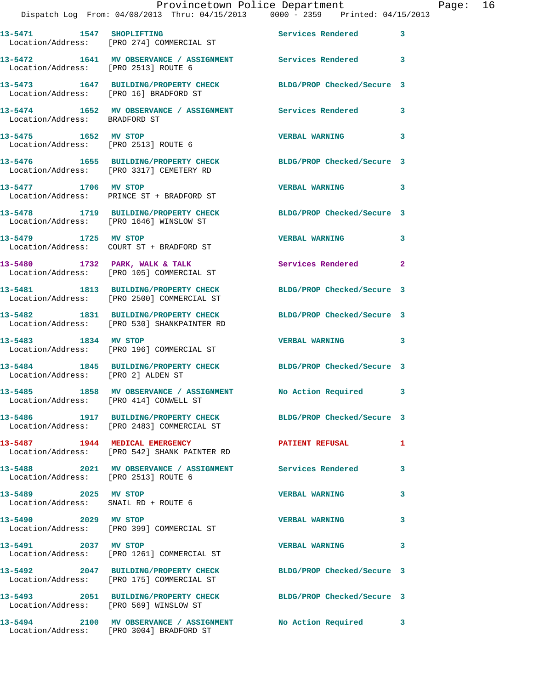|                                        | Provincetown Police Department<br>Dispatch Log From: 04/08/2013 Thru: 04/15/2013 0000 - 2359 Printed: 04/15/2013 |                          | $\mathbf{P}$            |
|----------------------------------------|------------------------------------------------------------------------------------------------------------------|--------------------------|-------------------------|
|                                        | 13-5471 1547 SHOPLIFTING<br>Location/Address: [PRO 274] COMMERCIAL ST                                            | Services Rendered        | 3                       |
| Location/Address: [PRO 2513] ROUTE 6   | 13-5472 1641 MV OBSERVANCE / ASSIGNMENT Services Rendered                                                        |                          | 3                       |
| Location/Address: [PRO 16] BRADFORD ST | 13-5473 1647 BUILDING/PROPERTY CHECK BLDG/PROP Checked/Secure 3                                                  |                          |                         |
| Location/Address: BRADFORD ST          | 13-5474 1652 MV OBSERVANCE / ASSIGNMENT Services Rendered                                                        |                          | 3                       |
|                                        |                                                                                                                  | <b>VERBAL WARNING</b>    | 3                       |
|                                        | 13-5476 1655 BUILDING/PROPERTY CHECK BLDG/PROP Checked/Secure 3<br>Location/Address: [PRO 3317] CEMETERY RD      |                          |                         |
| 13-5477 1706 MV STOP                   | Location/Address: PRINCE ST + BRADFORD ST                                                                        | <b>VERBAL WARNING</b>    | 3                       |
|                                        | 13-5478 1719 BUILDING/PROPERTY CHECK BLDG/PROP Checked/Secure 3<br>Location/Address: [PRO 1646] WINSLOW ST       |                          |                         |
| 13-5479 1725 MV STOP                   | Location/Address: COURT ST + BRADFORD ST                                                                         | <b>VERBAL WARNING</b>    | 3                       |
|                                        | 13-5480 1732 PARK, WALK & TALK<br>Location/Address: [PRO 105] COMMERCIAL ST                                      | <b>Services Rendered</b> | $\overline{\mathbf{2}}$ |
|                                        | 13-5481 1813 BUILDING/PROPERTY CHECK BLDG/PROP Checked/Secure 3<br>Location/Address: [PRO 2500] COMMERCIAL ST    |                          |                         |
|                                        | 13-5482 1831 BUILDING/PROPERTY CHECK BLDG/PROP Checked/Secure 3<br>Location/Address: [PRO 530] SHANKPAINTER RD   |                          |                         |
| 13-5483 1834 MV STOP                   | Location/Address: [PRO 196] COMMERCIAL ST                                                                        | <b>VERBAL WARNING</b>    | 3                       |
|                                        | 13-5484 1845 BUILDING/PROPERTY CHECK BLDG/PROP Checked/Secure 3<br>Location/Address: [PRO 2] ALDEN ST            |                          |                         |
| Location/Address: [PRO 414] CONWELL ST | 13-5485 1858 MV OBSERVANCE / ASSIGNMENT No Action Required 3                                                     |                          |                         |
|                                        | 13-5486 1917 BUILDING/PROPERTY CHECK BLDG/PROP Checked/Secure 3<br>Location/Address: [PRO 2483] COMMERCIAL ST    |                          |                         |
|                                        | 13-5487 1944 MEDICAL EMERGENCY<br>Location/Address: [PRO 542] SHANK PAINTER RD                                   | <b>PATIENT REFUSAL</b>   | 1                       |
| Location/Address: [PRO 2513] ROUTE 6   | 13-5488 2021 MV OBSERVANCE / ASSIGNMENT Services Rendered                                                        |                          | 3                       |
| 13-5489 2025 MV STOP                   | Location/Address: SNAIL RD + ROUTE 6                                                                             | <b>VERBAL WARNING</b>    | 3                       |
| 13-5490 2029 MV STOP                   | Location/Address: [PRO 399] COMMERCIAL ST                                                                        | <b>VERBAL WARNING</b>    | 3                       |
| 13-5491 2037 MV STOP                   | Location/Address: [PRO 1261] COMMERCIAL ST                                                                       | <b>VERBAL WARNING</b>    | 3                       |
|                                        | 13-5492 2047 BUILDING/PROPERTY CHECK BLDG/PROP Checked/Secure 3<br>Location/Address: [PRO 175] COMMERCIAL ST     |                          |                         |
|                                        | 13-5493 2051 BUILDING/PROPERTY CHECK BLDG/PROP Checked/Secure 3<br>Location/Address: [PRO 569] WINSLOW ST        |                          |                         |
|                                        | 13-5494 2100 MV OBSERVANCE / ASSIGNMENT No Action Required<br>Location/Address: [PRO 3004] BRADFORD ST           |                          | 3                       |

age: 16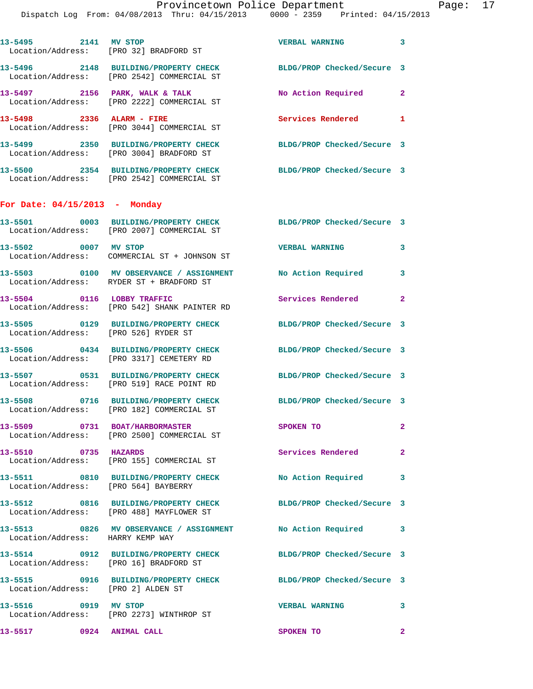|                                      | Dispatch Log From: 04/08/2013 Thru: 04/15/2013 0000 - 2359 Printed: 04/15/2013                                | Provincetown Police Department |   | Page: 17 |  |
|--------------------------------------|---------------------------------------------------------------------------------------------------------------|--------------------------------|---|----------|--|
|                                      | 13-5495 2141 MV STOP<br>Location/Address: [PRO 32] BRADFORD ST                                                | VERBAL WARNING 3               |   |          |  |
|                                      | 13-5496 2148 BUILDING/PROPERTY CHECK BLDG/PROP Checked/Secure 3<br>Location/Address: [PRO 2542] COMMERCIAL ST |                                |   |          |  |
|                                      | 13-5497 2156 PARK, WALK & TALK<br>Location/Address: [PRO 2222] COMMERCIAL ST                                  | No Action Required 2           |   |          |  |
|                                      | 13-5498 2336 ALARM - FIRE<br>Location/Address: [PRO 3044] COMMERCIAL ST                                       | Services Rendered              | 1 |          |  |
|                                      | 13-5499 2350 BUILDING/PROPERTY CHECK BLDG/PROP Checked/Secure 3<br>Location/Address: [PRO 3004] BRADFORD ST   |                                |   |          |  |
|                                      | 13-5500 2354 BUILDING/PROPERTY CHECK BLDG/PROP Checked/Secure 3<br>Location/Address: [PRO 2542] COMMERCIAL ST |                                |   |          |  |
| For Date: $04/15/2013$ - Monday      |                                                                                                               |                                |   |          |  |
|                                      | 13-5501 0003 BUILDING/PROPERTY CHECK BLDG/PROP Checked/Secure 3<br>Location/Address: [PRO 2007] COMMERCIAL ST |                                |   |          |  |
|                                      | 13-5502 0007 MV STOP<br>Location/Address: COMMERCIAL ST + JOHNSON ST                                          | <b>VERBAL WARNING</b>          | 3 |          |  |
|                                      | 13-5503 0100 MV OBSERVANCE / ASSIGNMENT No Action Required 3<br>Location/Address: RYDER ST + BRADFORD ST      |                                |   |          |  |
| 13-5504 0116 LOBBY TRAFFIC           | Location/Address: [PRO 542] SHANK PAINTER RD                                                                  | Services Rendered 2            |   |          |  |
| Location/Address: [PRO 526] RYDER ST | 13-5505 0129 BUILDING/PROPERTY CHECK BLDG/PROP Checked/Secure 3                                               |                                |   |          |  |
|                                      |                                                                                                               |                                |   |          |  |

**13-5506 0434 BUILDING/PROPERTY CHECK BLDG/PROP Checked/Secure 3**  Location/Address: [PRO 3317] CEMETERY RD

Location/Address: [PRO 519] RACE POINT RD

Location/Address: [PRO 182] COMMERCIAL ST

Location/Address: HARRY KEMP WAY

Location/Address: [PRO 2] ALDEN ST

**13-5507 0531 BUILDING/PROPERTY CHECK BLDG/PROP Checked/Secure 3** 

Location/Address: [PRO 2500] COMMERCIAL ST

Location/Address: [PRO 155] COMMERCIAL ST

Location/Address: [PRO 564] BAYBERRY

Location/Address: [PRO 488] MAYFLOWER ST

Location/Address: [PRO 16] BRADFORD ST

Location/Address: [PRO 2273] WINTHROP ST

**13-5517 0924 ANIMAL CALL SPOKEN TO 2** 

**13-5508 0716 BUILDING/PROPERTY CHECK BLDG/PROP Checked/Secure 3 13-5509 0731 BOAT/HARBORMASTER SPOKEN TO 2 13-5510 0735 HAZARDS Services Rendered 2 13-5511 0810 BUILDING/PROPERTY CHECK No Action Required 3 13-5512 0816 BUILDING/PROPERTY CHECK BLDG/PROP Checked/Secure 3 13-5513 0826 MV OBSERVANCE / ASSIGNMENT No Action Required 3 13-5514 0912 BUILDING/PROPERTY CHECK BLDG/PROP Checked/Secure 3 13-5515 0916 BUILDING/PROPERTY CHECK BLDG/PROP Checked/Secure 3 13-5516 0919 MV STOP VERBAL WARNING 3**